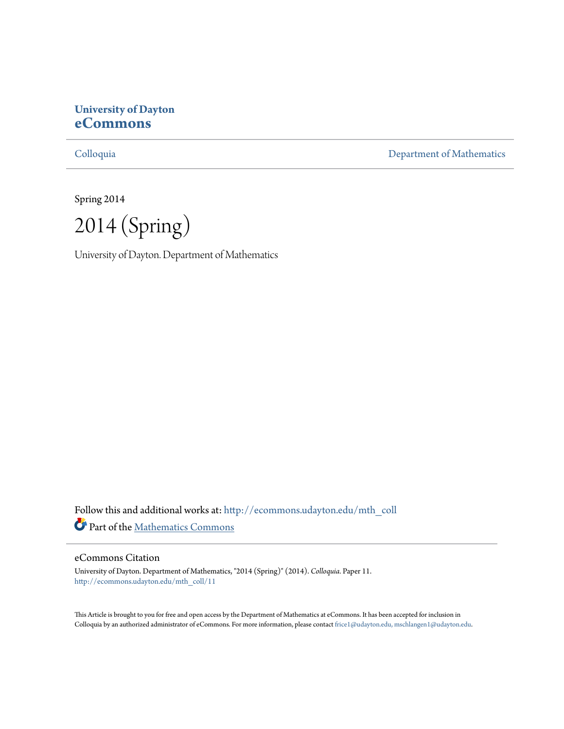# **University of Dayton [eCommons](http://ecommons.udayton.edu?utm_source=ecommons.udayton.edu%2Fmth_coll%2F11&utm_medium=PDF&utm_campaign=PDFCoverPages)**

[Colloquia](http://ecommons.udayton.edu/mth_coll?utm_source=ecommons.udayton.edu%2Fmth_coll%2F11&utm_medium=PDF&utm_campaign=PDFCoverPages) [Department of Mathematics](http://ecommons.udayton.edu/mth?utm_source=ecommons.udayton.edu%2Fmth_coll%2F11&utm_medium=PDF&utm_campaign=PDFCoverPages)

Spring 2014

2014 (Spring)

University of Dayton. Department of Mathematics

Follow this and additional works at: [http://ecommons.udayton.edu/mth\\_coll](http://ecommons.udayton.edu/mth_coll?utm_source=ecommons.udayton.edu%2Fmth_coll%2F11&utm_medium=PDF&utm_campaign=PDFCoverPages) Part of the [Mathematics Commons](http://network.bepress.com/hgg/discipline/174?utm_source=ecommons.udayton.edu%2Fmth_coll%2F11&utm_medium=PDF&utm_campaign=PDFCoverPages)

### eCommons Citation

University of Dayton. Department of Mathematics, "2014 (Spring)" (2014). *Colloquia.* Paper 11. [http://ecommons.udayton.edu/mth\\_coll/11](http://ecommons.udayton.edu/mth_coll/11?utm_source=ecommons.udayton.edu%2Fmth_coll%2F11&utm_medium=PDF&utm_campaign=PDFCoverPages)

This Article is brought to you for free and open access by the Department of Mathematics at eCommons. It has been accepted for inclusion in Colloquia by an authorized administrator of eCommons. For more information, please contact [frice1@udayton.edu, mschlangen1@udayton.edu.](mailto:frice1@udayton.edu,%20mschlangen1@udayton.edu)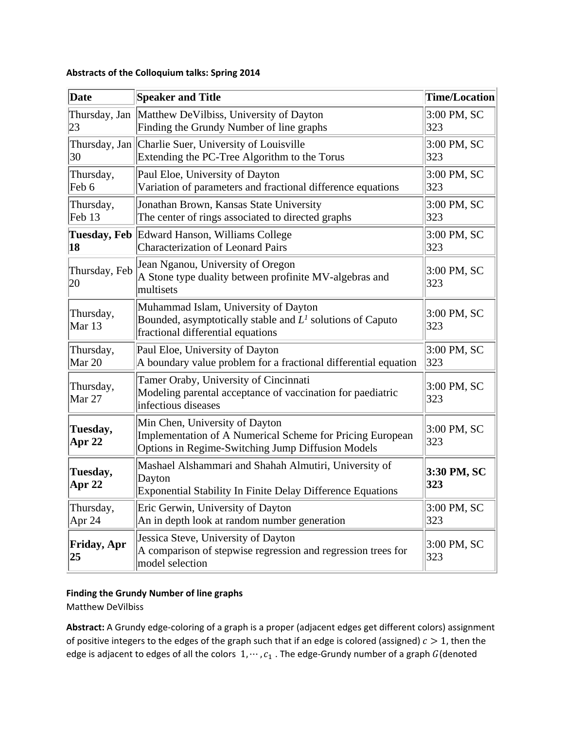| Date                           | <b>Speaker and Title</b>                                                                                                                         | <b>Time/Location</b> |
|--------------------------------|--------------------------------------------------------------------------------------------------------------------------------------------------|----------------------|
| Thursday, Jan<br>23            | Matthew DeVilbiss, University of Dayton<br>Finding the Grundy Number of line graphs                                                              | $3:00$ PM, SC<br>323 |
| 30                             | Thursday, Jan Charlie Suer, University of Louisville<br>Extending the PC-Tree Algorithm to the Torus                                             | 3:00 PM, SC<br> 323  |
| Thursday,<br>Feb 6             | Paul Eloe, University of Dayton<br>Variation of parameters and fractional difference equations                                                   | $3:00$ PM, SC<br>323 |
| Thursday,<br>Feb <sub>13</sub> | Jonathan Brown, Kansas State University<br>The center of rings associated to directed graphs                                                     | 3:00 PM, SC<br> 323  |
| 18                             | Tuesday, Feb Edward Hanson, Williams College<br><b>Characterization of Leonard Pairs</b>                                                         | $3:00$ PM, SC<br>323 |
| Thursday, Feb<br>20            | Jean Nganou, University of Oregon<br>A Stone type duality between profinite MV-algebras and<br>multisets                                         | $3:00$ PM, SC<br>323 |
| Thursday,<br>Mar 13            | Muhammad Islam, University of Dayton<br>Bounded, asymptotically stable and $L1$ solutions of Caputo<br>fractional differential equations         | $3:00$ PM, SC<br>323 |
| Thursday,<br>Mar 20            | Paul Eloe, University of Dayton<br>A boundary value problem for a fractional differential equation                                               | 3:00 PM, SC<br>323   |
| Thursday,<br>Mar 27            | Tamer Oraby, University of Cincinnati<br>Modeling parental acceptance of vaccination for paediatric<br>infectious diseases                       | $3:00$ PM, SC<br>323 |
| Tuesday,<br>Apr 22             | Min Chen, University of Dayton<br>Implementation of A Numerical Scheme for Pricing European<br>Options in Regime-Switching Jump Diffusion Models | 3:00 PM, SC<br>323   |
| Tuesday,<br><b>Apr 22</b>      | Mashael Alshammari and Shahah Almutiri, University of<br>Dayton<br><b>Exponential Stability In Finite Delay Difference Equations</b>             | 3:30 PM, SC<br>323   |
| Thursday,<br>Apr $24$          | Eric Gerwin, University of Dayton<br>An in depth look at random number generation                                                                | 3:00 PM, SC<br>323   |
| <b>Friday, Apr</b><br>25       | Jessica Steve, University of Dayton<br>A comparison of stepwise regression and regression trees for<br>model selection                           | $3:00$ PM, SC<br>323 |

### **Abstracts of the Colloquium talks: Spring 2014**

# **Finding the Grundy Number of line graphs**

Matthew DeVilbiss

**Abstract:** A Grundy edge‐coloring of a graph is a proper (adjacent edges get different colors) assignment of positive integers to the edges of the graph such that if an edge is colored (assigned)  $c > 1$ , then the edge is adjacent to edges of all the colors  $1, \cdots, c_1$  . The edge-Grundy number of a graph  $G$ (denoted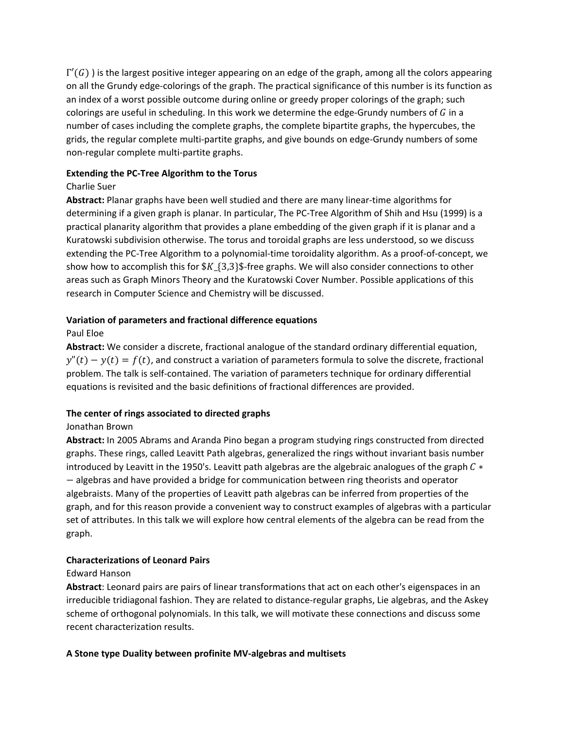$\Gamma'(G)$ ) is the largest positive integer appearing on an edge of the graph, among all the colors appearing on all the Grundy edge‐colorings of the graph. The practical significance of this number is its function as an index of a worst possible outcome during online or greedy proper colorings of the graph; such colorings are useful in scheduling. In this work we determine the edge-Grundy numbers of  $G$  in a number of cases including the complete graphs, the complete bipartite graphs, the hypercubes, the grids, the regular complete multi‐partite graphs, and give bounds on edge‐Grundy numbers of some non‐regular complete multi‐partite graphs.

### **Extending the PC‐Tree Algorithm to the Torus**

# Charlie Suer

Abstract: Planar graphs have been well studied and there are many linear-time algorithms for determining if a given graph is planar. In particular, The PC‐Tree Algorithm of Shih and Hsu (1999) is a practical planarity algorithm that provides a plane embedding of the given graph if it is planar and a Kuratowski subdivision otherwise. The torus and toroidal graphs are less understood, so we discuss extending the PC‐Tree Algorithm to a polynomial‐time toroidality algorithm. As a proof‐of‐concept, we show how to accomplish this for  $K_{13,3}$ . free graphs. We will also consider connections to other areas such as Graph Minors Theory and the Kuratowski Cover Number. Possible applications of this research in Computer Science and Chemistry will be discussed.

### **Variation of parameters and fractional difference equations**

# Paul Eloe

**Abstract:** We consider a discrete, fractional analogue of the standard ordinary differential equation,  $y''(t) - y(t) = f(t)$ , and construct a variation of parameters formula to solve the discrete, fractional problem. The talk is self‐contained. The variation of parameters technique for ordinary differential equations is revisited and the basic definitions of fractional differences are provided.

# **The center of rings associated to directed graphs**

# Jonathan Brown

**Abstract:** In 2005 Abrams and Aranda Pino began a program studying rings constructed from directed graphs. These rings, called Leavitt Path algebras, generalized the rings without invariant basis number introduced by Leavitt in the 1950's. Leavitt path algebras are the algebraic analogues of the graph  $C*$ - algebras and have provided a bridge for communication between ring theorists and operator algebraists. Many of the properties of Leavitt path algebras can be inferred from properties of the graph, and for this reason provide a convenient way to construct examples of algebras with a particular set of attributes. In this talk we will explore how central elements of the algebra can be read from the graph.

# **Characterizations of Leonard Pairs**

### Edward Hanson

**Abstract**: Leonard pairs are pairs of linear transformations that act on each other's eigenspaces in an irreducible tridiagonal fashion. They are related to distance‐regular graphs, Lie algebras, and the Askey scheme of orthogonal polynomials. In this talk, we will motivate these connections and discuss some recent characterization results.

# **A Stone type Duality between profinite MV‐algebras and multisets**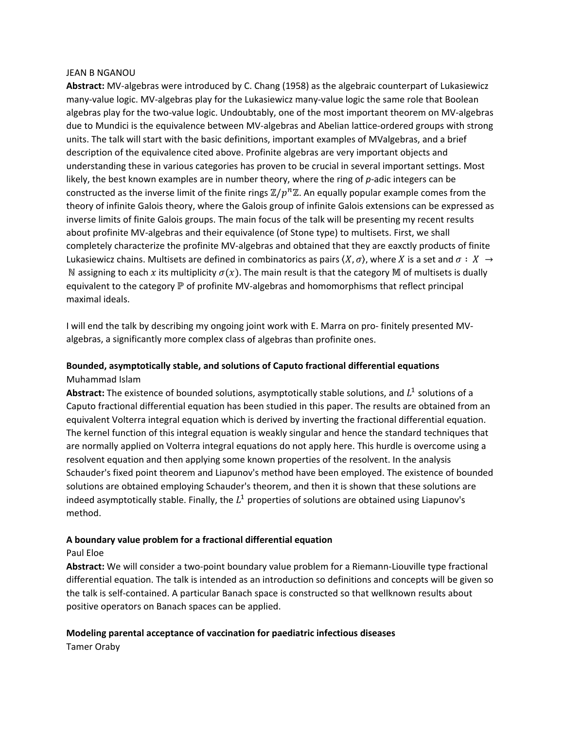#### JEAN B NGANOU

**Abstract:** MV‐algebras were introduced by C. Chang (1958) as the algebraic counterpart of Lukasiewicz many‐value logic. MV‐algebras play for the Lukasiewicz many‐value logic the same role that Boolean algebras play for the two‐value logic. Undoubtably, one of the most important theorem on MV‐algebras due to Mundici is the equivalence between MV‐algebras and Abelian lattice‐ordered groups with strong units. The talk will start with the basic definitions, important examples of MValgebras, and a brief description of the equivalence cited above. Profinite algebras are very important objects and understanding these in various categories has proven to be crucial in several important settings. Most likely, the best known examples are in number theory, where the ring of p-adic integers can be constructed as the inverse limit of the finite rings  $\mathbb{Z}/p^n\mathbb{Z}$ . An equally popular example comes from the theory of infinite Galois theory, where the Galois group of infinite Galois extensions can be expressed as inverse limits of finite Galois groups. The main focus of the talk will be presenting my recent results about profinite MV‐algebras and their equivalence (of Stone type) to multisets. First, we shall completely characterize the profinite MV-algebras and obtained that they are eaxctly products of finite Lukasiewicz chains. Multisets are defined in combinatorics as pairs  $(X, \sigma)$ , where X is a set and  $\sigma : X \to Y$ N assigning to each x its multiplicity  $\sigma(x)$ . The main result is that the category M of multisets is dually equivalent to the category ℙ of profinite MV-algebras and homomorphisms that reflect principal maximal ideals.

I will end the talk by describing my ongoing joint work with E. Marra on pro‐ finitely presented MV‐ algebras, a significantly more complex class of algebras than profinite ones.

# **Bounded, asymptotically stable, and solutions of Caputo fractional differential equations** Muhammad Islam

**Abstract:** The existence of bounded solutions, asymptotically stable solutions, and  $L^1$  solutions of a Caputo fractional differential equation has been studied in this paper. The results are obtained from an equivalent Volterra integral equation which is derived by inverting the fractional differential equation. The kernel function of this integral equation is weakly singular and hence the standard techniques that are normally applied on Volterra integral equations do not apply here. This hurdle is overcome using a resolvent equation and then applying some known properties of the resolvent. In the analysis Schauder's fixed point theorem and Liapunov's method have been employed. The existence of bounded solutions are obtained employing Schauder's theorem, and then it is shown that these solutions are indeed asymptotically stable. Finally, the  $L^1$  properties of solutions are obtained using Liapunov's method.

### **A boundary value problem for a fractional differential equation**

### Paul Eloe

Abstract: We will consider a two-point boundary value problem for a Riemann-Liouville type fractional differential equation. The talk is intended as an introduction so definitions and concepts will be given so the talk is self-contained. A particular Banach space is constructed so that wellknown results about positive operators on Banach spaces can be applied.

# **Modeling parental acceptance of vaccination for paediatric infectious diseases**

Tamer Oraby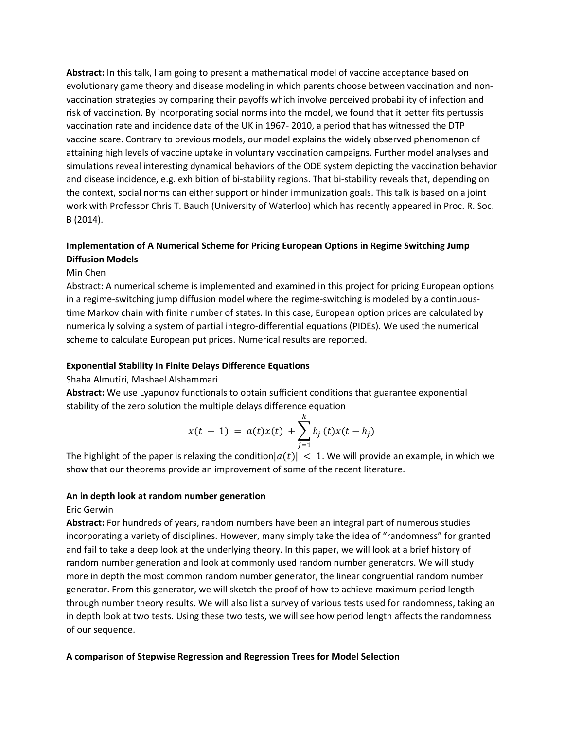**Abstract:** In this talk, I am going to present a mathematical model of vaccine acceptance based on evolutionary game theory and disease modeling in which parents choose between vaccination and non‐ vaccination strategies by comparing their payoffs which involve perceived probability of infection and risk of vaccination. By incorporating social norms into the model, we found that it better fits pertussis vaccination rate and incidence data of the UK in 1967‐ 2010, a period that has witnessed the DTP vaccine scare. Contrary to previous models, our model explains the widely observed phenomenon of attaining high levels of vaccine uptake in voluntary vaccination campaigns. Further model analyses and simulations reveal interesting dynamical behaviors of the ODE system depicting the vaccination behavior and disease incidence, e.g. exhibition of bi-stability regions. That bi-stability reveals that, depending on the context, social norms can either support or hinder immunization goals. This talk is based on a joint work with Professor Chris T. Bauch (University of Waterloo) which has recently appeared in Proc. R. Soc. B (2014).

# **Implementation of A Numerical Scheme for Pricing European Options in Regime Switching Jump Diffusion Models**

### Min Chen

Abstract: A numerical scheme is implemented and examined in this project for pricing European options in a regime-switching jump diffusion model where the regime-switching is modeled by a continuoustime Markov chain with finite number of states. In this case, European option prices are calculated by numerically solving a system of partial integro-differential equations (PIDEs). We used the numerical scheme to calculate European put prices. Numerical results are reported.

#### **Exponential Stability In Finite Delays Difference Equations**

Shaha Almutiri, Mashael Alshammari

**Abstract:** We use Lyapunov functionals to obtain sufficient conditions that guarantee exponential stability of the zero solution the multiple delays difference equation

$$
x(t + 1) = a(t)x(t) + \sum_{j=1}^{k} b_j(t)x(t - h_j)
$$

The highlight of the paper is relaxing the condition  $|a(t)| < 1$ . We will provide an example, in which we show that our theorems provide an improvement of some of the recent literature.

#### **An in depth look at random number generation**

Eric Gerwin

**Abstract:** For hundreds of years, random numbers have been an integral part of numerous studies incorporating a variety of disciplines. However, many simply take the idea of "randomness" for granted and fail to take a deep look at the underlying theory. In this paper, we will look at a brief history of random number generation and look at commonly used random number generators. We will study more in depth the most common random number generator, the linear congruential random number generator. From this generator, we will sketch the proof of how to achieve maximum period length through number theory results. We will also list a survey of various tests used for randomness, taking an in depth look at two tests. Using these two tests, we will see how period length affects the randomness of our sequence.

#### **A comparison of Stepwise Regression and Regression Trees for Model Selection**